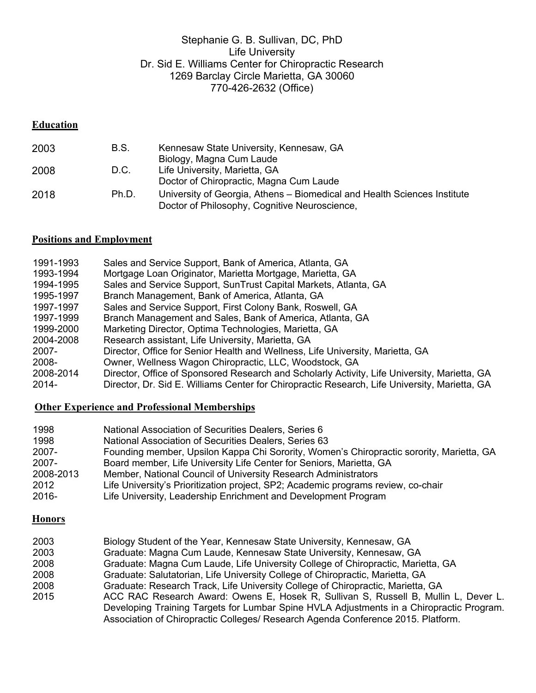## Stephanie G. B. Sullivan, DC, PhD Life University Dr. Sid E. Williams Center for Chiropractic Research 1269 Barclay Circle Marietta, GA 30060 770-426-2632 (Office)

## **Education**

| 2003 | B.S.  | Kennesaw State University, Kennesaw, GA                                                                                   |
|------|-------|---------------------------------------------------------------------------------------------------------------------------|
|      |       | Biology, Magna Cum Laude                                                                                                  |
| 2008 | D.C.  | Life University, Marietta, GA                                                                                             |
|      |       | Doctor of Chiropractic, Magna Cum Laude                                                                                   |
| 2018 | Ph.D. | University of Georgia, Athens – Biomedical and Health Sciences Institute<br>Doctor of Philosophy, Cognitive Neuroscience, |

# **Positions and Employment**

| 1993-1994<br>Mortgage Loan Originator, Marietta Mortgage, Marietta, GA<br>1994-1995<br>Sales and Service Support, SunTrust Capital Markets, Atlanta, GA<br>1995-1997<br>Branch Management, Bank of America, Atlanta, GA<br>Sales and Service Support, First Colony Bank, Roswell, GA<br>1997-1997<br>1997-1999<br>Branch Management and Sales, Bank of America, Atlanta, GA<br>1999-2000<br>Marketing Director, Optima Technologies, Marietta, GA<br>Research assistant, Life University, Marietta, GA<br>2004-2008<br>Director, Office for Senior Health and Wellness, Life University, Marietta, GA<br>2007-<br>Owner, Wellness Wagon Chiropractic, LLC, Woodstock, GA<br>2008-<br>2008-2014 | 1991-1993 | Sales and Service Support, Bank of America, Atlanta, GA                                       |
|------------------------------------------------------------------------------------------------------------------------------------------------------------------------------------------------------------------------------------------------------------------------------------------------------------------------------------------------------------------------------------------------------------------------------------------------------------------------------------------------------------------------------------------------------------------------------------------------------------------------------------------------------------------------------------------------|-----------|-----------------------------------------------------------------------------------------------|
|                                                                                                                                                                                                                                                                                                                                                                                                                                                                                                                                                                                                                                                                                                |           |                                                                                               |
|                                                                                                                                                                                                                                                                                                                                                                                                                                                                                                                                                                                                                                                                                                |           |                                                                                               |
|                                                                                                                                                                                                                                                                                                                                                                                                                                                                                                                                                                                                                                                                                                |           |                                                                                               |
|                                                                                                                                                                                                                                                                                                                                                                                                                                                                                                                                                                                                                                                                                                |           |                                                                                               |
|                                                                                                                                                                                                                                                                                                                                                                                                                                                                                                                                                                                                                                                                                                |           |                                                                                               |
|                                                                                                                                                                                                                                                                                                                                                                                                                                                                                                                                                                                                                                                                                                |           |                                                                                               |
|                                                                                                                                                                                                                                                                                                                                                                                                                                                                                                                                                                                                                                                                                                |           |                                                                                               |
|                                                                                                                                                                                                                                                                                                                                                                                                                                                                                                                                                                                                                                                                                                |           |                                                                                               |
|                                                                                                                                                                                                                                                                                                                                                                                                                                                                                                                                                                                                                                                                                                |           |                                                                                               |
|                                                                                                                                                                                                                                                                                                                                                                                                                                                                                                                                                                                                                                                                                                |           | Director, Office of Sponsored Research and Scholarly Activity, Life University, Marietta, GA  |
|                                                                                                                                                                                                                                                                                                                                                                                                                                                                                                                                                                                                                                                                                                | 2014-     | Director, Dr. Sid E. Williams Center for Chiropractic Research, Life University, Marietta, GA |

## **Other Experience and Professional Memberships**

| 1998      | National Association of Securities Dealers, Series 6                                     |
|-----------|------------------------------------------------------------------------------------------|
| 1998      | National Association of Securities Dealers, Series 63                                    |
| 2007-     | Founding member, Upsilon Kappa Chi Sorority, Women's Chiropractic sorority, Marietta, GA |
| 2007-     | Board member, Life University Life Center for Seniors, Marietta, GA                      |
| 2008-2013 | Member, National Council of University Research Administrators                           |
| 2012      | Life University's Prioritization project, SP2; Academic programs review, co-chair        |
| 2016-     | Life University, Leadership Enrichment and Development Program                           |

## **Honors**

| 2003 | Biology Student of the Year, Kennesaw State University, Kennesaw, GA                     |
|------|------------------------------------------------------------------------------------------|
| 2003 | Graduate: Magna Cum Laude, Kennesaw State University, Kennesaw, GA                       |
| 2008 | Graduate: Magna Cum Laude, Life University College of Chiropractic, Marietta, GA         |
| 2008 | Graduate: Salutatorian, Life University College of Chiropractic, Marietta, GA            |
| 2008 | Graduate: Research Track, Life University College of Chiropractic, Marietta, GA          |
| 2015 | ACC RAC Research Award: Owens E, Hosek R, Sullivan S, Russell B, Mullin L, Dever L.      |
|      | Developing Training Targets for Lumbar Spine HVLA Adjustments in a Chiropractic Program. |
|      | Association of Chiropractic Colleges/ Research Agenda Conference 2015. Platform.         |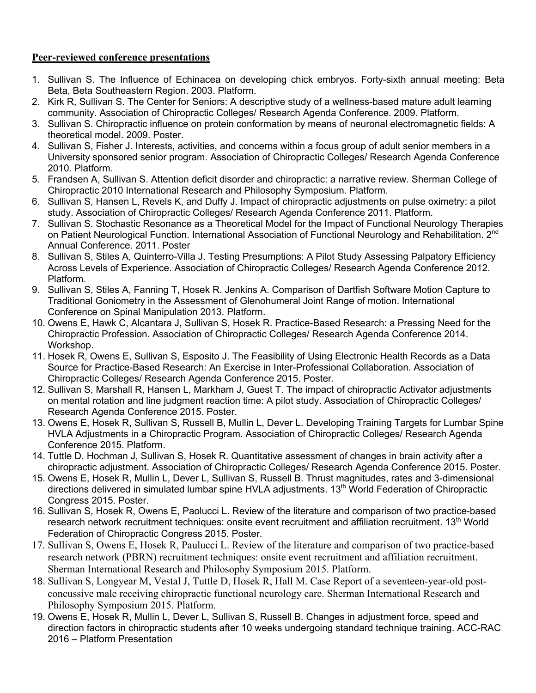## **Peer-reviewed conference presentations**

- 1. Sullivan S. The Influence of Echinacea on developing chick embryos. Forty-sixth annual meeting: Beta Beta, Beta Southeastern Region. 2003. Platform.
- 2. Kirk R, Sullivan S. The Center for Seniors: A descriptive study of a wellness-based mature adult learning community. Association of Chiropractic Colleges/ Research Agenda Conference. 2009. Platform.
- 3. Sullivan S. Chiropractic influence on protein conformation by means of neuronal electromagnetic fields: A theoretical model. 2009. Poster.
- 4. Sullivan S, Fisher J. Interests, activities, and concerns within a focus group of adult senior members in a University sponsored senior program. Association of Chiropractic Colleges/ Research Agenda Conference 2010. Platform.
- 5. Frandsen A, Sullivan S. Attention deficit disorder and chiropractic: a narrative review. Sherman College of Chiropractic 2010 International Research and Philosophy Symposium. Platform.
- 6. Sullivan S, Hansen L, Revels K, and Duffy J. Impact of chiropractic adjustments on pulse oximetry: a pilot study. Association of Chiropractic Colleges/ Research Agenda Conference 2011. Platform.
- 7. Sullivan S. Stochastic Resonance as a Theoretical Model for the Impact of Functional Neurology Therapies on Patient Neurological Function. International Association of Functional Neurology and Rehabilitation. 2<sup>nd</sup> Annual Conference. 2011. Poster
- 8. Sullivan S, Stiles A, Quinterro-Villa J. Testing Presumptions: A Pilot Study Assessing Palpatory Efficiency Across Levels of Experience. Association of Chiropractic Colleges/ Research Agenda Conference 2012. Platform.
- 9. Sullivan S, Stiles A, Fanning T, Hosek R. Jenkins A. Comparison of Dartfish Software Motion Capture to Traditional Goniometry in the Assessment of Glenohumeral Joint Range of motion. International Conference on Spinal Manipulation 2013. Platform.
- 10. Owens E, Hawk C, Alcantara J, Sullivan S, Hosek R. Practice-Based Research: a Pressing Need for the Chiropractic Profession. Association of Chiropractic Colleges/ Research Agenda Conference 2014. Workshop.
- 11. Hosek R, Owens E, Sullivan S, Esposito J. The Feasibility of Using Electronic Health Records as a Data Source for Practice-Based Research: An Exercise in Inter-Professional Collaboration. Association of Chiropractic Colleges/ Research Agenda Conference 2015. Poster.
- 12. Sullivan S, Marshall R, Hansen L, Markham J, Guest T. The impact of chiropractic Activator adjustments on mental rotation and line judgment reaction time: A pilot study. Association of Chiropractic Colleges/ Research Agenda Conference 2015. Poster.
- 13. Owens E, Hosek R, Sullivan S, Russell B, Mullin L, Dever L. Developing Training Targets for Lumbar Spine HVLA Adjustments in a Chiropractic Program. Association of Chiropractic Colleges/ Research Agenda Conference 2015. Platform.
- 14. Tuttle D. Hochman J, Sullivan S, Hosek R. Quantitative assessment of changes in brain activity after a chiropractic adjustment. Association of Chiropractic Colleges/ Research Agenda Conference 2015. Poster.
- 15. Owens E, Hosek R, Mullin L, Dever L, Sullivan S, Russell B. Thrust magnitudes, rates and 3-dimensional directions delivered in simulated lumbar spine HVLA adjustments. 13<sup>th</sup> World Federation of Chiropractic Congress 2015. Poster.
- 16. Sullivan S, Hosek R, Owens E, Paolucci L. Review of the literature and comparison of two practice-based research network recruitment techniques: onsite event recruitment and affiliation recruitment. 13<sup>th</sup> World Federation of Chiropractic Congress 2015. Poster.
- 17. Sullivan S, Owens E, Hosek R, Paulucci L. Review of the literature and comparison of two practice-based research network (PBRN) recruitment techniques: onsite event recruitment and affiliation recruitment. Sherman International Research and Philosophy Symposium 2015. Platform.
- 18. Sullivan S, Longyear M, Vestal J, Tuttle D, Hosek R, Hall M. Case Report of a seventeen-year-old postconcussive male receiving chiropractic functional neurology care. Sherman International Research and Philosophy Symposium 2015. Platform.
- 19. Owens E, Hosek R, Mullin L, Dever L, Sullivan S, Russell B. Changes in adjustment force, speed and direction factors in chiropractic students after 10 weeks undergoing standard technique training. ACC-RAC 2016 – Platform Presentation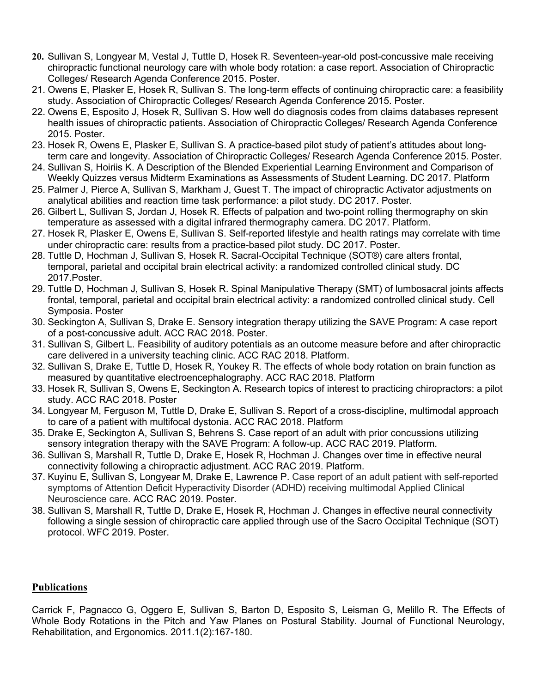- **20.** Sullivan S, Longyear M, Vestal J, Tuttle D, Hosek R. Seventeen-year-old post-concussive male receiving chiropractic functional neurology care with whole body rotation: a case report. Association of Chiropractic Colleges/ Research Agenda Conference 2015. Poster.
- 21. Owens E, Plasker E, Hosek R, Sullivan S. The long-term effects of continuing chiropractic care: a feasibility study. Association of Chiropractic Colleges/ Research Agenda Conference 2015. Poster.
- 22. Owens E, Esposito J, Hosek R, Sullivan S. How well do diagnosis codes from claims databases represent health issues of chiropractic patients. Association of Chiropractic Colleges/ Research Agenda Conference 2015. Poster.
- 23. Hosek R, Owens E, Plasker E, Sullivan S. A practice-based pilot study of patient's attitudes about longterm care and longevity. Association of Chiropractic Colleges/ Research Agenda Conference 2015. Poster.
- 24. Sullivan S, Hoiriis K. A Description of the Blended Experiential Learning Environment and Comparison of Weekly Quizzes versus Midterm Examinations as Assessments of Student Learning. DC 2017. Platform
- 25. Palmer J, Pierce A, Sullivan S, Markham J, Guest T. The impact of chiropractic Activator adjustments on analytical abilities and reaction time task performance: a pilot study. DC 2017. Poster.
- 26. Gilbert L, Sullivan S, Jordan J, Hosek R. Effects of palpation and two-point rolling thermography on skin temperature as assessed with a digital infrared thermography camera. DC 2017. Platform.
- 27. Hosek R, Plasker E, Owens E, Sullivan S. Self-reported lifestyle and health ratings may correlate with time under chiropractic care: results from a practice-based pilot study. DC 2017. Poster.
- 28. Tuttle D, Hochman J, Sullivan S, Hosek R. Sacral-Occipital Technique (SOT®) care alters frontal, temporal, parietal and occipital brain electrical activity: a randomized controlled clinical study. DC 2017.Poster.
- 29. Tuttle D, Hochman J, Sullivan S, Hosek R. Spinal Manipulative Therapy (SMT) of lumbosacral joints affects frontal, temporal, parietal and occipital brain electrical activity: a randomized controlled clinical study. Cell Symposia. Poster
- 30. Seckington A, Sullivan S, Drake E. Sensory integration therapy utilizing the SAVE Program: A case report of a post-concussive adult. ACC RAC 2018. Poster.
- 31. Sullivan S, Gilbert L. Feasibility of auditory potentials as an outcome measure before and after chiropractic care delivered in a university teaching clinic. ACC RAC 2018. Platform.
- 32. Sullivan S, Drake E, Tuttle D, Hosek R, Youkey R. The effects of whole body rotation on brain function as measured by quantitative electroencephalography. ACC RAC 2018. Platform
- 33. Hosek R, Sullivan S, Owens E, Seckington A. Research topics of interest to practicing chiropractors: a pilot study. ACC RAC 2018. Poster
- 34. Longyear M, Ferguson M, Tuttle D, Drake E, Sullivan S. Report of a cross-discipline, multimodal approach to care of a patient with multifocal dystonia. ACC RAC 2018. Platform
- 35. Drake E, Seckington A, Sullivan S, Behrens S. Case report of an adult with prior concussions utilizing sensory integration therapy with the SAVE Program: A follow-up. ACC RAC 2019. Platform.
- 36. Sullivan S, Marshall R, Tuttle D, Drake E, Hosek R, Hochman J. Changes over time in effective neural connectivity following a chiropractic adjustment. ACC RAC 2019. Platform.
- 37. Kuyinu E, Sullivan S, Longyear M, Drake E, Lawrence P. Case report of an adult patient with self-reported symptoms of Attention Deficit Hyperactivity Disorder (ADHD) receiving multimodal Applied Clinical Neuroscience care. ACC RAC 2019. Poster.
- 38. Sullivan S, Marshall R, Tuttle D, Drake E, Hosek R, Hochman J. Changes in effective neural connectivity following a single session of chiropractic care applied through use of the Sacro Occipital Technique (SOT) protocol. WFC 2019. Poster.

## **Publications**

Carrick F, Pagnacco G, Oggero E, Sullivan S, Barton D, Esposito S, Leisman G, Melillo R. The Effects of Whole Body Rotations in the Pitch and Yaw Planes on Postural Stability. Journal of Functional Neurology, Rehabilitation, and Ergonomics. 2011.1(2):167-180.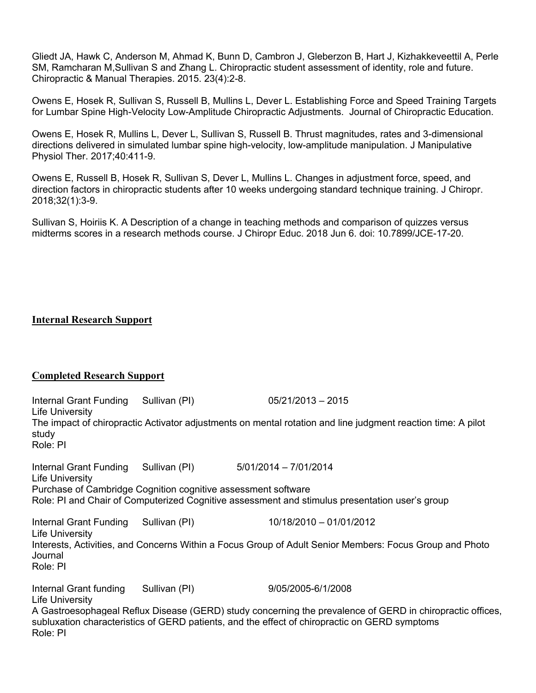Gliedt JA, Hawk C, Anderson M, Ahmad K, Bunn D, Cambron J, Gleberzon B, Hart J, Kizhakkeveettil A, Perle SM, Ramcharan M,Sullivan S and Zhang L. Chiropractic student assessment of identity, role and future. Chiropractic & Manual Therapies. 2015. 23(4):2-8.

Owens E, Hosek R, Sullivan S, Russell B, Mullins L, Dever L. Establishing Force and Speed Training Targets for Lumbar Spine High-Velocity Low-Amplitude Chiropractic Adjustments. Journal of Chiropractic Education.

Owens E, Hosek R, Mullins L, Dever L, Sullivan S, Russell B. Thrust magnitudes, rates and 3-dimensional directions delivered in simulated lumbar spine high-velocity, low-amplitude manipulation. J Manipulative Physiol Ther. 2017;40:411-9.

Owens E, Russell B, Hosek R, Sullivan S, Dever L, Mullins L. Changes in adjustment force, speed, and direction factors in chiropractic students after 10 weeks undergoing standard technique training. J Chiropr. 2018;32(1):3-9.

Sullivan S, Hoiriis K. A Description of a change in teaching methods and comparison of quizzes versus midterms scores in a research methods course. J Chiropr Educ. 2018 Jun 6. doi: 10.7899/JCE-17-20.

### **Internal Research Support**

### **Completed Research Support**

| Internal Grant Funding Sullivan (PI)<br>Life University       |               | $05/21/2013 - 2015$                                                                                                                                                                                        |
|---------------------------------------------------------------|---------------|------------------------------------------------------------------------------------------------------------------------------------------------------------------------------------------------------------|
| study<br>Role: PI                                             |               | The impact of chiropractic Activator adjustments on mental rotation and line judgment reaction time: A pilot                                                                                               |
| Internal Grant Funding Sullivan (PI)<br>Life University       |               | $5/01/2014 - 7/01/2014$                                                                                                                                                                                    |
| Purchase of Cambridge Cognition cognitive assessment software |               |                                                                                                                                                                                                            |
|                                                               |               | Role: PI and Chair of Computerized Cognitive assessment and stimulus presentation user's group                                                                                                             |
| Internal Grant Funding Sullivan (PI)<br>Life University       |               | 10/18/2010 - 01/01/2012                                                                                                                                                                                    |
| Journal<br>Role: PI                                           |               | Interests, Activities, and Concerns Within a Focus Group of Adult Senior Members: Focus Group and Photo                                                                                                    |
| Internal Grant funding<br>Life University                     | Sullivan (PI) | 9/05/2005-6/1/2008                                                                                                                                                                                         |
| Role: PI                                                      |               | A Gastroesophageal Reflux Disease (GERD) study concerning the prevalence of GERD in chiropractic offices,<br>subluxation characteristics of GERD patients, and the effect of chiropractic on GERD symptoms |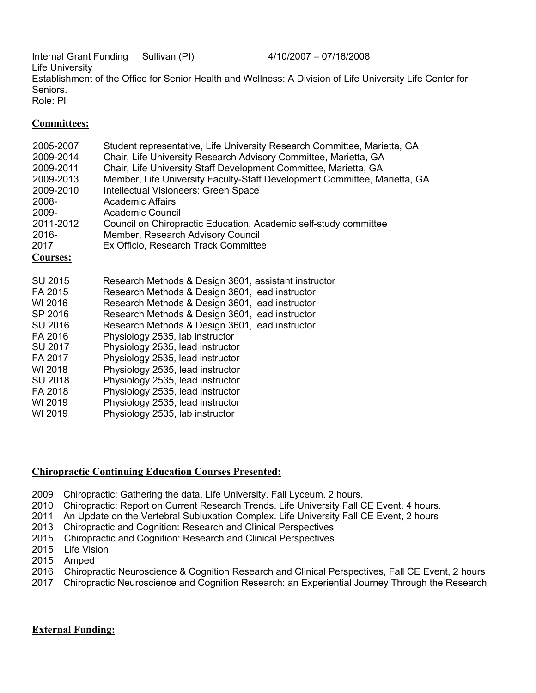Internal Grant Funding Sullivan (PI) 4/10/2007 – 07/16/2008 Life University Establishment of the Office for Senior Health and Wellness: A Division of Life University Life Center for Seniors. Role: PI

### **Committees:**

| 2005-2007<br>2009-2014<br>2009-2011<br>2009-2013<br>2009-2010<br>2008-<br>2009-<br>2011-2012<br>2016-<br>2017<br><b>Courses:</b> | Student representative, Life University Research Committee, Marietta, GA<br>Chair, Life University Research Advisory Committee, Marietta, GA<br>Chair, Life University Staff Development Committee, Marietta, GA<br>Member, Life University Faculty-Staff Development Committee, Marietta, GA<br>Intellectual Visioneers: Green Space<br><b>Academic Affairs</b><br><b>Academic Council</b><br>Council on Chiropractic Education, Academic self-study committee<br>Member, Research Advisory Council<br>Ex Officio, Research Track Committee |
|----------------------------------------------------------------------------------------------------------------------------------|----------------------------------------------------------------------------------------------------------------------------------------------------------------------------------------------------------------------------------------------------------------------------------------------------------------------------------------------------------------------------------------------------------------------------------------------------------------------------------------------------------------------------------------------|
| SU 2015                                                                                                                          | Research Methods & Design 3601, assistant instructor                                                                                                                                                                                                                                                                                                                                                                                                                                                                                         |
| FA 2015                                                                                                                          | Research Methods & Design 3601, lead instructor                                                                                                                                                                                                                                                                                                                                                                                                                                                                                              |
| WI 2016                                                                                                                          | Research Methods & Design 3601, lead instructor                                                                                                                                                                                                                                                                                                                                                                                                                                                                                              |
| SP 2016                                                                                                                          | Research Methods & Design 3601, lead instructor                                                                                                                                                                                                                                                                                                                                                                                                                                                                                              |
| SU 2016                                                                                                                          | Research Methods & Design 3601, lead instructor                                                                                                                                                                                                                                                                                                                                                                                                                                                                                              |
| FA 2016                                                                                                                          | Physiology 2535, lab instructor                                                                                                                                                                                                                                                                                                                                                                                                                                                                                                              |
| SU 2017                                                                                                                          | Physiology 2535, lead instructor                                                                                                                                                                                                                                                                                                                                                                                                                                                                                                             |
| FA 2017                                                                                                                          | Physiology 2535, lead instructor                                                                                                                                                                                                                                                                                                                                                                                                                                                                                                             |
| WI 2018                                                                                                                          | Physiology 2535, lead instructor                                                                                                                                                                                                                                                                                                                                                                                                                                                                                                             |
| SU 2018                                                                                                                          | Physiology 2535, lead instructor                                                                                                                                                                                                                                                                                                                                                                                                                                                                                                             |
| FA 2018                                                                                                                          | Physiology 2535, lead instructor                                                                                                                                                                                                                                                                                                                                                                                                                                                                                                             |
| WI 2019                                                                                                                          | Physiology 2535, lead instructor                                                                                                                                                                                                                                                                                                                                                                                                                                                                                                             |
| WI 2019                                                                                                                          | Physiology 2535, lab instructor                                                                                                                                                                                                                                                                                                                                                                                                                                                                                                              |

## **Chiropractic Continuing Education Courses Presented:**

- 2009 Chiropractic: Gathering the data. Life University. Fall Lyceum. 2 hours.
- 2010 Chiropractic: Report on Current Research Trends. Life University Fall CE Event. 4 hours.
- 2011 An Update on the Vertebral Subluxation Complex. Life University Fall CE Event, 2 hours
- 2013 Chiropractic and Cognition: Research and Clinical Perspectives
- 2015 Chiropractic and Cognition: Research and Clinical Perspectives
- 2015 Life Vision
- 2015 Amped
- 2016 Chiropractic Neuroscience & Cognition Research and Clinical Perspectives, Fall CE Event, 2 hours
- 2017 Chiropractic Neuroscience and Cognition Research: an Experiential Journey Through the Research

### **External Funding:**